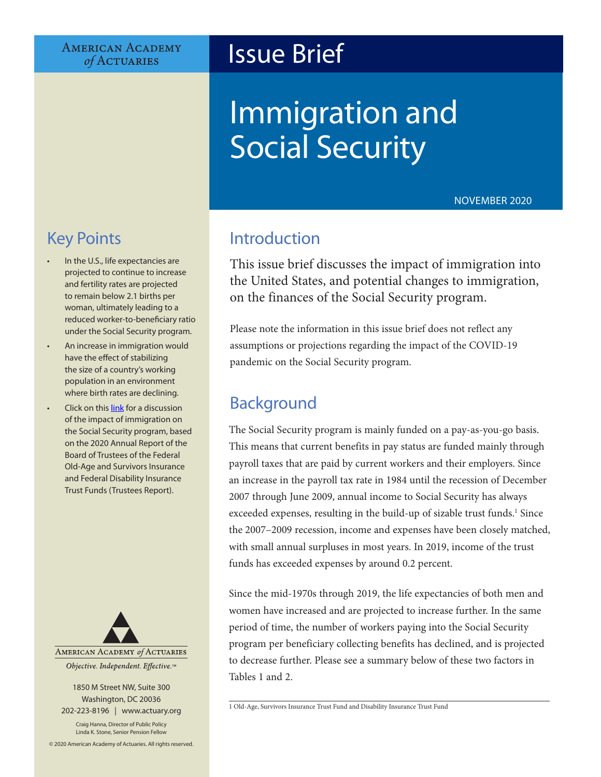#### **AMERICAN ACADEMY** of ACTUARIES

## Issue Brief

# Immigration and Social Security

NOVEMBER 2020

## Key Points

- In the U.S., life expectancies are projected to continue to increase and fertility rates are projected to remain below 2.1 births per woman, ultimately leading to a reduced worker-to-beneficiary ratio under the Social Security program.
- An increase in immigration would have the effect of stabilizing the size of a country's working population in an environment where birth rates are declining.
- Click on this [link](https://www.ssa.gov/oact/tr/2020/tr2020.pdf) for a discussion of the impact of immigration on the Social Security program, based on the 2020 Annual Report of the Board of Trustees of the Federal Old-Age and Survivors Insurance and Federal Disability Insurance Trust Funds (Trustees Report).



1850 M Street NW, Suite 300 Washington, DC 20036 202-223-8196 | [www.actuary.org](http://actuary.org)

Craig Hanna, Director of Public Policy Linda K. Stone, Senior Pension Fellow

© 2020 American Academy of Actuaries. All rights reserved.

## Introduction

This issue brief discusses the impact of immigration into the United States, and potential changes to immigration, on the finances of the Social Security program.

Please note the information in this issue brief does not reflect any assumptions or projections regarding the impact of the COVID-19 pandemic on the Social Security program.

## Background

The Social Security program is mainly funded on a pay-as-you-go basis. This means that current benefits in pay status are funded mainly through payroll taxes that are paid by current workers and their employers. Since an increase in the payroll tax rate in 1984 until the recession of December 2007 through June 2009, annual income to Social Security has always exceeded expenses, resulting in the build-up of sizable trust funds.<sup>1</sup> Since the 2007–2009 recession, income and expenses have been closely matched, with small annual surpluses in most years. In 2019, income of the trust funds has exceeded expenses by around 0.2 percent.

Since the mid-1970s through 2019, the life expectancies of both men and women have increased and are projected to increase further. In the same period of time, the number of workers paying into the Social Security program per beneficiary collecting benefits has declined, and is projected to decrease further. Please see a summary below of these two factors in Tables 1 and 2.

<sup>1</sup> Old-Age, Survivors Insurance Trust Fund and Disability Insurance Trust Fund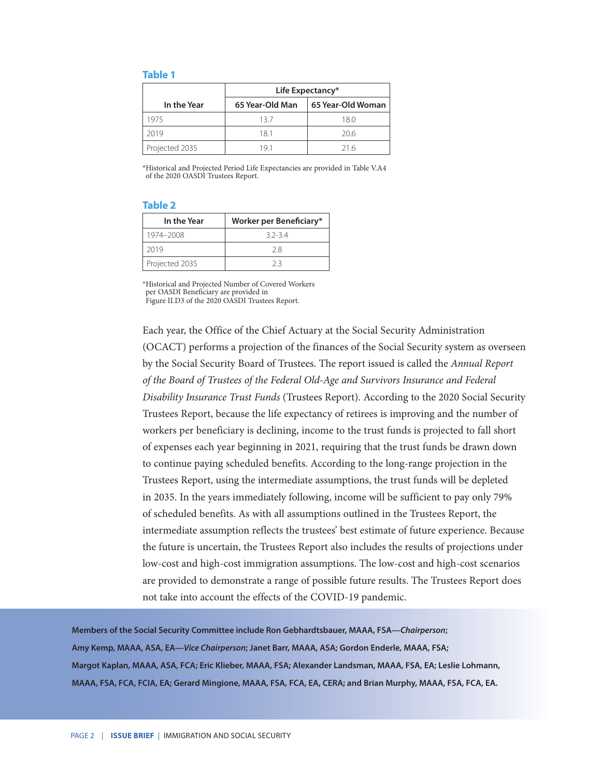#### **Table 1**

|                | Life Expectancy* |                   |  |
|----------------|------------------|-------------------|--|
| In the Year    | 65 Year-Old Man  | 65 Year-Old Woman |  |
| 1975           | 137              | 18.0              |  |
| 2019           | 181              | 20.6              |  |
| Projected 2035 | 191              | 216               |  |

\*Historical and Projected Period Life Expectancies are provided in Table V.A4 of the 2020 OASDI Trustees Report.

#### **Table 2**

| In the Year    | Worker per Beneficiary* |
|----------------|-------------------------|
| 1974-2008      | $32-34$                 |
| 2019           | 28                      |
| Projected 2035 | フ3                      |

\*Historical and Projected Number of Covered Workers per OASDI Beneficiary are provided in Figure II.D3 of the 2020 OASDI Trustees Report.

Each year, the Office of the Chief Actuary at the Social Security Administration (OCACT) performs a projection of the finances of the Social Security system as overseen by the Social Security Board of Trustees. The report issued is called the *Annual Report of the Board of Trustees of the Federal Old-Age and Survivors Insurance and Federal Disability Insurance Trust Funds* (Trustees Report). According to the 2020 Social Security Trustees Report, because the life expectancy of retirees is improving and the number of workers per beneficiary is declining, income to the trust funds is projected to fall short of expenses each year beginning in 2021, requiring that the trust funds be drawn down to continue paying scheduled benefits. According to the long-range projection in the Trustees Report, using the intermediate assumptions, the trust funds will be depleted in 2035. In the years immediately following, income will be sufficient to pay only 79% of scheduled benefits. As with all assumptions outlined in the Trustees Report, the intermediate assumption reflects the trustees' best estimate of future experience. Because the future is uncertain, the Trustees Report also includes the results of projections under low-cost and high-cost immigration assumptions. The low-cost and high-cost scenarios are provided to demonstrate a range of possible future results. The Trustees Report does not take into account the effects of the COVID-19 pandemic.

**Members of the Social Security Committee include Ron Gebhardtsbauer, MAAA, FSA—***Chairperson***; Amy Kemp, MAAA, ASA, EA—***Vice Chairperson***; Janet Barr, MAAA, ASA; Gordon Enderle, MAAA, FSA; Margot Kaplan, MAAA, ASA, FCA; Eric Klieber, MAAA, FSA; Alexander Landsman, MAAA, FSA, EA; Leslie Lohmann, MAAA, FSA, FCA, FCIA, EA; Gerard Mingione, MAAA, FSA, FCA, EA, CERA; and Brian Murphy, MAAA, FSA, FCA, EA.**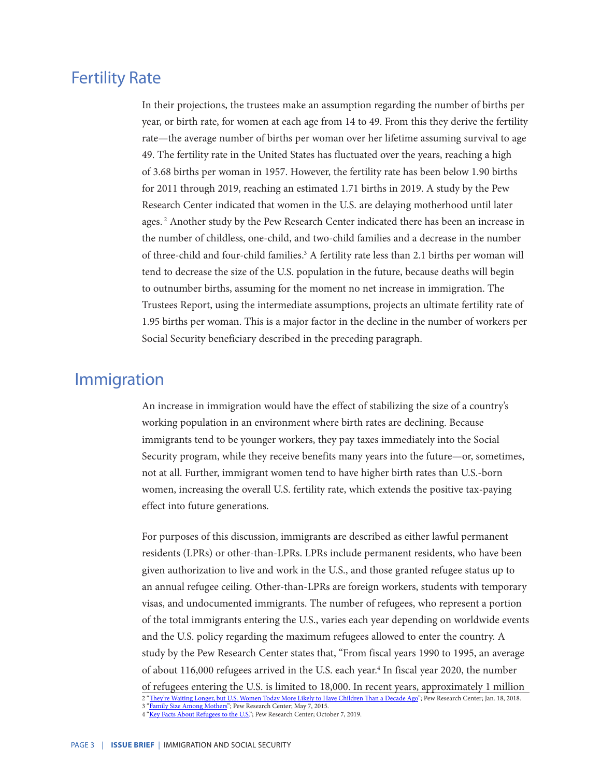## Fertility Rate

In their projections, the trustees make an assumption regarding the number of births per year, or birth rate, for women at each age from 14 to 49. From this they derive the fertility rate—the average number of births per woman over her lifetime assuming survival to age 49. The fertility rate in the United States has fluctuated over the years, reaching a high of 3.68 births per woman in 1957. However, the fertility rate has been below 1.90 births for 2011 through 2019, reaching an estimated 1.71 births in 2019. A study by the Pew Research Center indicated that women in the U.S. are delaying motherhood until later ages.<sup>2</sup> Another study by the Pew Research Center indicated there has been an increase in the number of childless, one-child, and two-child families and a decrease in the number of three-child and four-child families.<sup>3</sup> A fertility rate less than 2.1 births per woman will tend to decrease the size of the U.S. population in the future, because deaths will begin to outnumber births, assuming for the moment no net increase in immigration. The Trustees Report, using the intermediate assumptions, projects an ultimate fertility rate of 1.95 births per woman. This is a major factor in the decline in the number of workers per Social Security beneficiary described in the preceding paragraph.

#### Immigration

An increase in immigration would have the effect of stabilizing the size of a country's working population in an environment where birth rates are declining. Because immigrants tend to be younger workers, they pay taxes immediately into the Social Security program, while they receive benefits many years into the future—or, sometimes, not at all. Further, immigrant women tend to have higher birth rates than U.S.-born women, increasing the overall U.S. fertility rate, which extends the positive tax-paying effect into future generations.

For purposes of this discussion, immigrants are described as either lawful permanent residents (LPRs) or other-than-LPRs. LPRs include permanent residents, who have been given authorization to live and work in the U.S., and those granted refugee status up to an annual refugee ceiling. Other-than-LPRs are foreign workers, students with temporary visas, and undocumented immigrants. The number of refugees, who represent a portion of the total immigrants entering the U.S., varies each year depending on worldwide events and the U.S. policy regarding the maximum refugees allowed to enter the country. A study by the Pew Research Center states that, "From fiscal years 1990 to 1995, an average of about 116,000 refugees arrived in the U.S. each year.<sup>4</sup> In fiscal year 2020, the number

of refugees entering the U.S. is limited to 18,000. In recent years, approximately 1 million

<sup>2</sup> ["They're Waiting Longer, but U.S. Women Today More Likely to Have Children Than a Decade Ago";](https://www.pewsocialtrends.org/2018/01/18/theyre-waiting-longer-but-u-s-women-today-more-likely-to-have-children-than-a-decade-ago/) Pew Research Center; Jan. 18, 2018. 3 ["Family Size Among Mothers"](https://www.pewsocialtrends.org/2015/05/07/family-size-among-mothers/); Pew Research Center; May 7, 2015.

<sup>4</sup> ["Key Facts About Refugees to the U.S.](https://www.pewresearch.org/fact-tank/2019/10/07/key-facts-about-refugees-to-the-u-s/)"; Pew Research Center; October 7, 2019.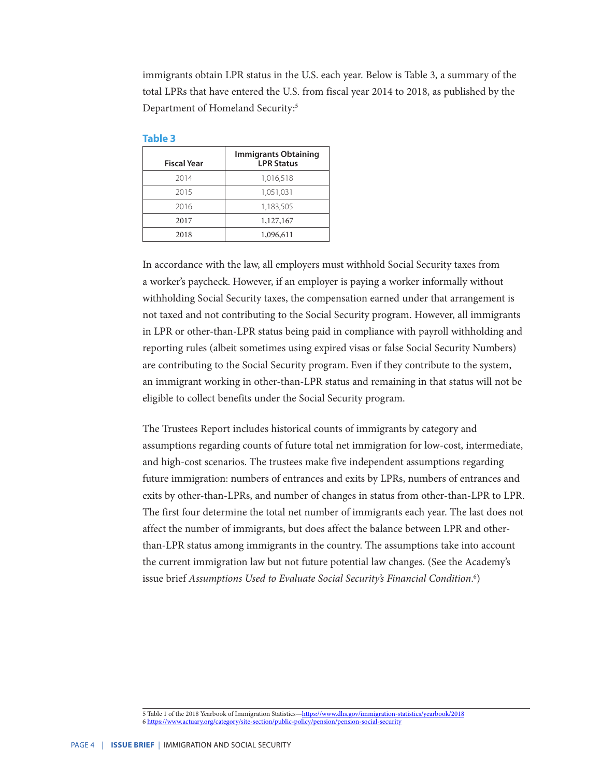immigrants obtain LPR status in the U.S. each year. Below is Table 3, a summary of the total LPRs that have entered the U.S. from fiscal year 2014 to 2018, as published by the Department of Homeland Security:<sup>5</sup>

#### **Table 3**

| <b>Fiscal Year</b> | <b>Immigrants Obtaining</b><br><b>LPR Status</b> |
|--------------------|--------------------------------------------------|
| 2014               | 1,016,518                                        |
| 2015               | 1,051,031                                        |
| 2016               | 1,183,505                                        |
| 2017               | 1,127,167                                        |
| 2018               | 1,096,611                                        |

In accordance with the law, all employers must withhold Social Security taxes from a worker's paycheck. However, if an employer is paying a worker informally without withholding Social Security taxes, the compensation earned under that arrangement is not taxed and not contributing to the Social Security program. However, all immigrants in LPR or other-than-LPR status being paid in compliance with payroll withholding and reporting rules (albeit sometimes using expired visas or false Social Security Numbers) are contributing to the Social Security program. Even if they contribute to the system, an immigrant working in other-than-LPR status and remaining in that status will not be eligible to collect benefits under the Social Security program.

The Trustees Report includes historical counts of immigrants by category and assumptions regarding counts of future total net immigration for low-cost, intermediate, and high-cost scenarios. The trustees make five independent assumptions regarding future immigration: numbers of entrances and exits by LPRs, numbers of entrances and exits by other-than-LPRs, and number of changes in status from other-than-LPR to LPR. The first four determine the total net number of immigrants each year. The last does not affect the number of immigrants, but does affect the balance between LPR and otherthan-LPR status among immigrants in the country. The assumptions take into account the current immigration law but not future potential law changes. (See the Academy's issue brief *Assumptions Used to Evaluate Social Security's Financial Condition*. 6 )

<sup>5</sup> Table 1 of the 2018 Yearbook of Immigration Statistics—<https://www.dhs.gov/immigration-statistics/yearbook/2018> 6<https://www.actuary.org/category/site-section/public-policy/pension/pension-social-security>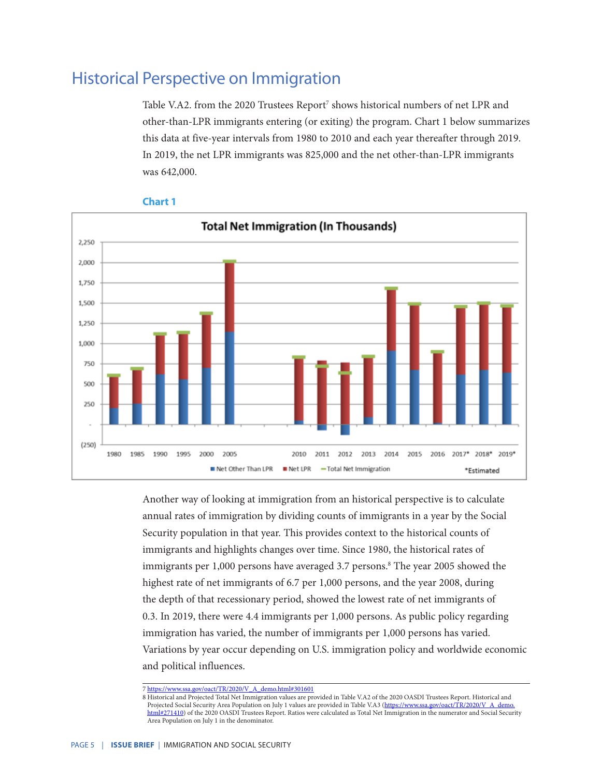## Historical Perspective on Immigration

Table V.A2. from the 2020 Trustees Report<sup>7</sup> shows historical numbers of net LPR and other-than-LPR immigrants entering (or exiting) the program. Chart 1 below summarizes this data at five-year intervals from 1980 to 2010 and each year thereafter through 2019. In 2019, the net LPR immigrants was 825,000 and the net other-than-LPR immigrants was 642,000.



#### **Chart 1**

Another way of looking at immigration from an historical perspective is to calculate annual rates of immigration by dividing counts of immigrants in a year by the Social Security population in that year. This provides context to the historical counts of immigrants and highlights changes over time. Since 1980, the historical rates of immigrants per 1,000 persons have averaged 3.7 persons.<sup>8</sup> The year 2005 showed the highest rate of net immigrants of 6.7 per 1,000 persons, and the year 2008, during the depth of that recessionary period, showed the lowest rate of net immigrants of 0.3. In 2019, there were 4.4 immigrants per 1,000 persons. As public policy regarding immigration has varied, the number of immigrants per 1,000 persons has varied. Variations by year occur depending on U.S. immigration policy and worldwide economic and political influences.

<sup>7</sup> [https://www.ssa.gov/oact/TR/2020/V\\_A\\_demo.html#301601](https://www.ssa.gov/oact/TR/2020/V_A_demo.html#301601)

<sup>8</sup> Historical and Projected Total Net Immigration values are provided in Table V.A2 of the 2020 OASDI Trustees Report. Historical and Projected Social Security Area Population on July 1 values are provided in Table V.A3 ([https://www.ssa.gov/oact/TR/2020/V\\_A\\_demo.](https://www.ssa.gov/oact/TR/2020/V_A_demo.html#271410) [html#271410\)](https://www.ssa.gov/oact/TR/2020/V_A_demo.html#271410) of the 2020 OASDI Trustees Report. Ratios were calculated as Total Net Immigration in the numerator and Social Security Area Population on July 1 in the denominator.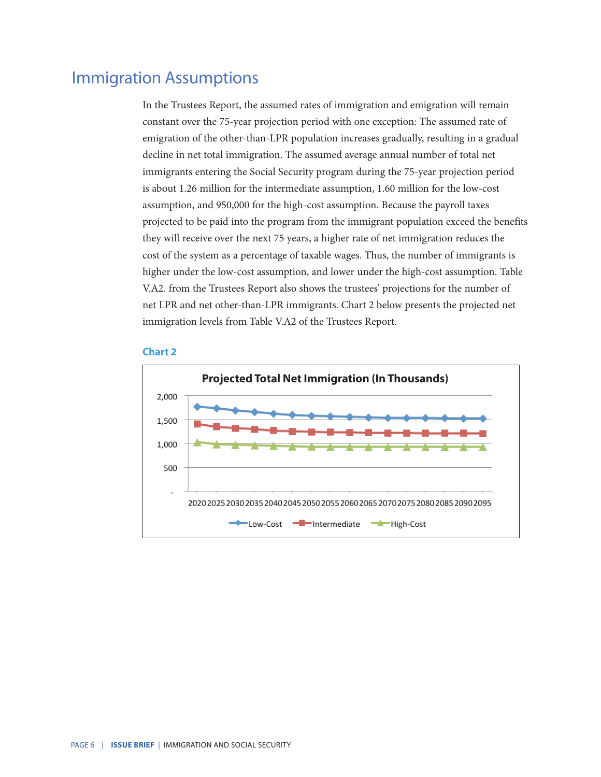## Immigration Assumptions

In the Trustees Report, the assumed rates of immigration and emigration will remain constant over the 75-year projection period with one exception: The assumed rate of emigration of the other-than-LPR population increases gradually, resulting in a gradual decline in net total immigration. The assumed average annual number of total net immigrants entering the Social Security program during the 75-year projection period is about 1.26 million for the intermediate assumption, 1.60 million for the low-cost assumption, and 950,000 for the high-cost assumption. Because the payroll taxes projected to be paid into the program from the immigrant population exceed the benefits they will receive over the next 75 years, a higher rate of net immigration reduces the cost of the system as a percentage of taxable wages. Thus, the number of immigrants is higher under the low-cost assumption, and lower under the high-cost assumption. Table V.A2. from the Trustees Report also shows the trustees' projections for the number of net LPR and net other-than-LPR immigrants. Chart 2 below presents the projected net immigration levels from Table V.A2 of the Trustees Report.

#### **Chart 2**

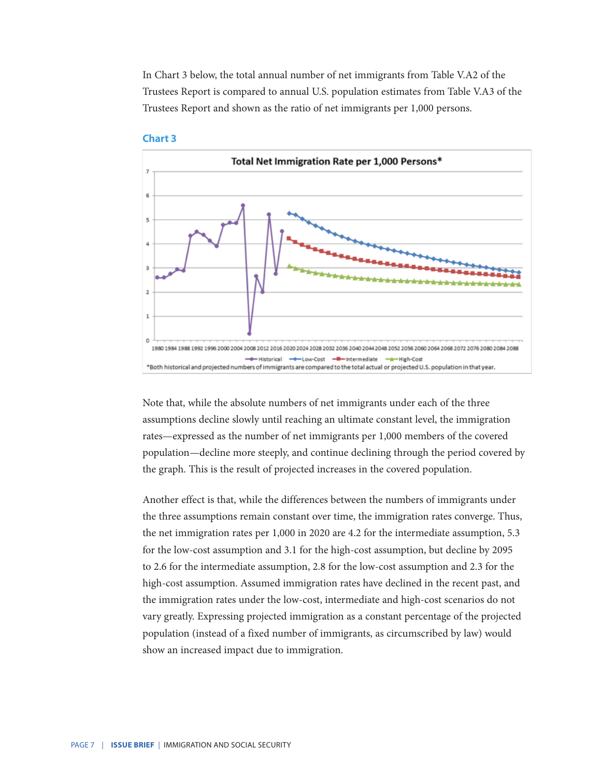In Chart 3 below, the total annual number of net immigrants from Table V.A2 of the Trustees Report is compared to annual U.S. population estimates from Table V.A3 of the Trustees Report and shown as the ratio of net immigrants per 1,000 persons.





Note that, while the absolute numbers of net immigrants under each of the three assumptions decline slowly until reaching an ultimate constant level, the immigration rates—expressed as the number of net immigrants per 1,000 members of the covered population—decline more steeply, and continue declining through the period covered by the graph. This is the result of projected increases in the covered population.

Another effect is that, while the differences between the numbers of immigrants under the three assumptions remain constant over time, the immigration rates converge. Thus, the net immigration rates per 1,000 in 2020 are 4.2 for the intermediate assumption, 5.3 for the low-cost assumption and 3.1 for the high-cost assumption, but decline by 2095 to 2.6 for the intermediate assumption, 2.8 for the low-cost assumption and 2.3 for the high-cost assumption. Assumed immigration rates have declined in the recent past, and the immigration rates under the low-cost, intermediate and high-cost scenarios do not vary greatly. Expressing projected immigration as a constant percentage of the projected population (instead of a fixed number of immigrants, as circumscribed by law) would show an increased impact due to immigration.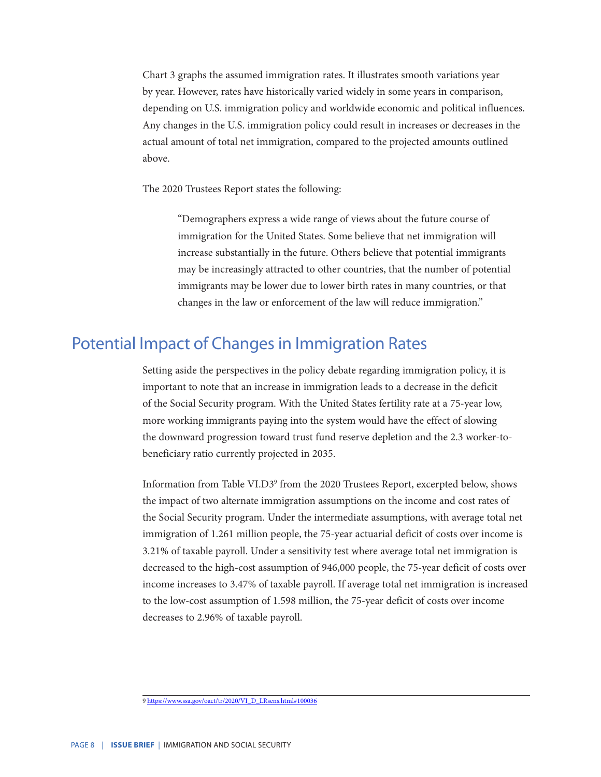Chart 3 graphs the assumed immigration rates. It illustrates smooth variations year by year. However, rates have historically varied widely in some years in comparison, depending on U.S. immigration policy and worldwide economic and political influences. Any changes in the U.S. immigration policy could result in increases or decreases in the actual amount of total net immigration, compared to the projected amounts outlined above.

The 2020 Trustees Report states the following:

 "Demographers express a wide range of views about the future course of immigration for the United States. Some believe that net immigration will increase substantially in the future. Others believe that potential immigrants may be increasingly attracted to other countries, that the number of potential immigrants may be lower due to lower birth rates in many countries, or that changes in the law or enforcement of the law will reduce immigration."

#### Potential Impact of Changes in Immigration Rates

Setting aside the perspectives in the policy debate regarding immigration policy, it is important to note that an increase in immigration leads to a decrease in the deficit of the Social Security program. With the United States fertility rate at a 75-year low, more working immigrants paying into the system would have the effect of slowing the downward progression toward trust fund reserve depletion and the 2.3 worker-tobeneficiary ratio currently projected in 2035.

Information from Table VI.D39 from the 2020 Trustees Report, excerpted below, shows the impact of two alternate immigration assumptions on the income and cost rates of the Social Security program. Under the intermediate assumptions, with average total net immigration of 1.261 million people, the 75-year actuarial deficit of costs over income is 3.21% of taxable payroll. Under a sensitivity test where average total net immigration is decreased to the high-cost assumption of 946,000 people, the 75-year deficit of costs over income increases to 3.47% of taxable payroll. If average total net immigration is increased to the low-cost assumption of 1.598 million, the 75-year deficit of costs over income decreases to 2.96% of taxable payroll.

<sup>9</sup> [https://www.ssa.gov/oact/tr/2020/VI\\_D\\_LRsens.html#100036](https://www.ssa.gov/oact/tr/2020/VI_D_LRsens.html#100036)